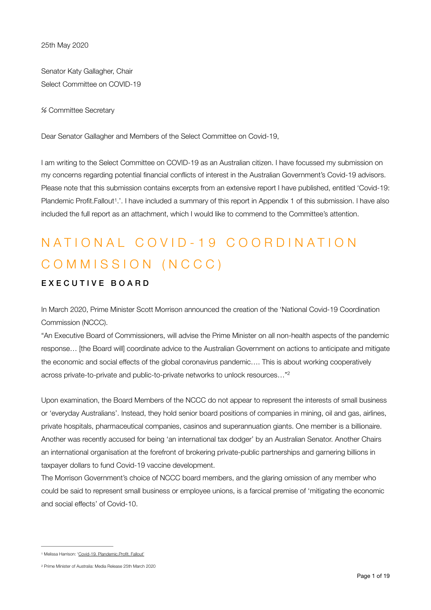Senator Katy Gallagher, Chair Select Committee on COVID-19

℅ Committee Secretary

Dear Senator Gallagher and Members of the Select Committee on Covid-19,

<span id="page-0-2"></span>I am writing to the Select Committee on COVID-19 as an Australian citizen. I have focussed my submission on my concerns regarding potential financial conflicts of interest in the Australian Government's Covid-19 advisors. Please note that this submission contains excerpts from an extensive report I have published, entitled 'Covid-19: Plandemic Profit.Fallout<sup>[1](#page-0-0)</sup>.'. I have included a summary of this report in Appendix 1 of this submission. I have also included the full report as an attachment, which I would like to commend to the Committee's attention.

# NATIONAL COVID-19 COORDINATION COMMISSION (NCCC)

#### EXECUTIVE BOARD

In March 2020, Prime Minister Scott Morrison announced the creation of the 'National Covid-19 Coordination Commission (NCCC).

"An Executive Board of Commissioners, will advise the Prime Minister on all non-health aspects of the pandemic response… [the Board will] coordinate advice to the Australian Government on actions to anticipate and mitigate the economic and social effects of the global coronavirus pandemic…. This is about working cooperatively across private-to-private and public-to-private networks to unlock resources…["2](#page-0-1)

<span id="page-0-3"></span>Upon examination, the Board Members of the NCCC do not appear to represent the interests of small business or 'everyday Australians'. Instead, they hold senior board positions of companies in mining, oil and gas, airlines, private hospitals, pharmaceutical companies, casinos and superannuation giants. One member is a billionaire. Another was recently accused for being 'an international tax dodger' by an Australian Senator. Another Chairs an international organisation at the forefront of brokering private-public partnerships and garnering billions in taxpayer dollars to fund Covid-19 vaccine development.

The Morrison Government's choice of NCCC board members, and the glaring omission of any member who could be said to represent small business or employee unions, is a farcical premise of 'mitigating the economic and social effects' of Covid-10.

<span id="page-0-0"></span>[<sup>1</sup>](#page-0-2) Melissa Harrison: ['Covid-19. Plandemic.Profit. Fallout'](https://www.harrisonpublications.org/covid-19-plandemic-profit-fallout.html)

<span id="page-0-1"></span>[<sup>2</sup>](#page-0-3) Prime Minister of Australia: [Media Release 25th March 2020](https://www.pm.gov.au/media/national-covid-19-coordination-commission)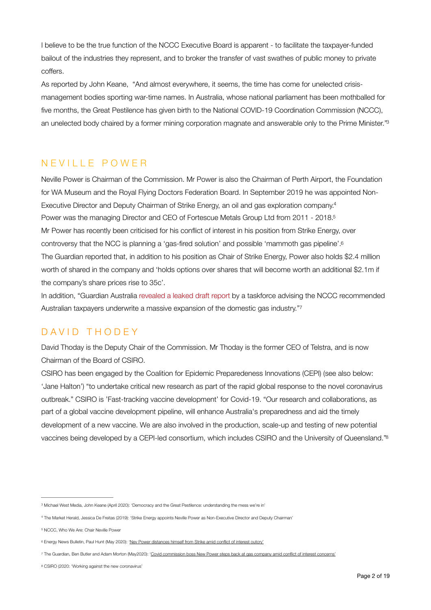I believe to be the true function of the NCCC Executive Board is apparent - to facilitate the taxpayer-funded bailout of the industries they represent, and to broker the transfer of vast swathes of public money to private coffers.

<span id="page-1-6"></span>As reported by John Keane, "And almost everywhere, it seems, the time has come for unelected crisismanagement bodies sporting war-time names. In Australia, whose national parliament has been mothballed for five months, the Great Pestilence has given birth to the National COVID-19 Coordination Commission (NCCC), an unelected body chaired by a former mining corporation magnate and answerable only to the Prime Minister.["3](#page-1-0)

### NEVILLE POWER

<span id="page-1-8"></span><span id="page-1-7"></span>Neville Power is Chairman of the Commission. Mr Power is also the Chairman of Perth Airport, the Foundation for WA Museum and the Royal Flying Doctors Federation Board. In September 2019 he was appointed Non-Executive Director and Deputy Chairman of Strike Energy, an oil and gas exploration company[.](#page-1-1) [4](#page-1-1) Power was the managing Director and CEO of Fortescue Metals Group Ltd from 2011 - 2018[.5](#page-1-2) Mr Power has recently been criticised for his conflict of interest in his position from Strike Energy, over controversy that the NCC is planning a 'gas-fired solution' and possible 'mammoth gas pipeline'.<sup>6</sup> The Guardian reported that, in addition to his position as Chair of Strike Energy, Power also holds \$2.4 million worth of shared in the company and 'holds options over shares that will become worth an additional \$2.1m if the company's share prices rise to 35c'.

<span id="page-1-10"></span><span id="page-1-9"></span>In addition, "Guardian Australia [revealed a leaked draft report](https://www.theguardian.com/environment/2020/may/21/leaked-covid-19-commission-report-calls-for-australian-taxpayers-to-underwrite-gas-industry-expansion) by a taskforce advising the NCCC recommended Australian taxpayers underwrite a massive expansion of the domestic gas industry.["7](#page-1-4)

# DAVID THODEY

David Thoday is the Deputy Chair of the Commission. Mr Thoday is the former CEO of Telstra, and is now Chairman of the Board of CSIRO.

<span id="page-1-11"></span>CSIRO has been engaged by the Coalition for Epidemic Preparedeness Innovations (CEPI) (see also below: 'Jane Halton') "to undertake critical new research as part of the rapid global response to the novel coronavirus outbreak." CSIRO is 'Fast-tracking vaccine development' for Covid-19. "Our research and collaborations, as part of a global vaccine development pipeline, will enhance Australia's preparedness and aid the timely development of a new vaccine. We are also involved in the production, scale-up and testing of new potential vaccines being developed by a CEPI-led consortium, which includes CSIRO and the University of Queensland.["8](#page-1-5)

<span id="page-1-0"></span><sup>&</sup>lt;sup>3</sup> Michael West Media, John Keane (April 2020): '[Democracy and the Great Pestilence: understanding the mess we're in'](https://www.michaelwest.com.au/democracy-and-the-corona-virus-understanding-the-mess-were-in-after-relinquishing-power/)

<span id="page-1-1"></span>The Market Herald, Jessica De Freitas (2019): ['Strike Energy appoints Neville Power as Non-Executive Director and Deputy Chairman'](https://themarketherald.com.au/strike-energy-appoints-neville-power-as-non-executive-director-and-deputy-chairman-2019-09/) [4](#page-1-7)

<span id="page-1-2"></span><sup>&</sup>lt;sup>5</sup> NCCC, [Who We Are: Chair Neville Power](https://pmc.gov.au/nccc/who-we-are)

<span id="page-1-3"></span><sup>&</sup>lt;sup>[6](#page-1-9)</sup> Energy News Bulletin, Paul Hunt (May 2020): ['Nev Power distances himself from Strike amid conflict of interest outcry'](https://www.energynewsbulletin.net/covid-19/news/1387537/nev-power-distances-himself-from-strike-amid-conflict-of-interest-outcry)

<span id="page-1-4"></span>[<sup>7</sup>](#page-1-10) The Guardian, Ben Butler and Adam Morton (May2020): ['Covid commission boss New Power steps back at gas company amid conflict of interest concerns'](https://www.theguardian.com/australia-news/2020/may/23/covid-commission-boss-nev-power-steps-back-at-gas-company-amid-conflict-of-interest-concerns)

<span id="page-1-5"></span>[<sup>8</sup>](#page-1-11) CSIRO (2020: '[Working against the new coronavirus'](https://www.csiro.au/en/Research/Health/Infectious-diseases-coronavirus/Our-response/Understanding-the-virus)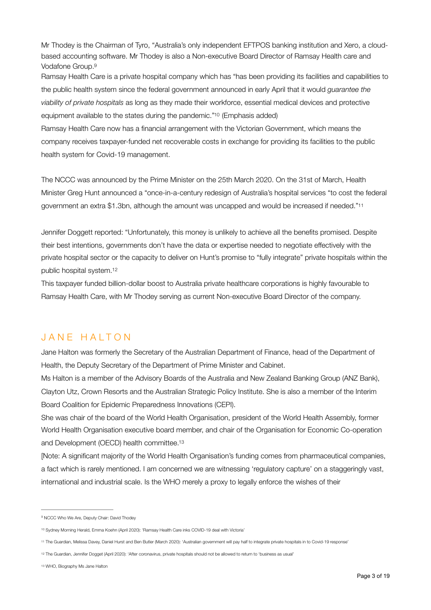Mr Thodey is the Chairman of Tyro, "Australia's only independent EFTPOS banking institution and Xero, a cloudbased accounting software. Mr Thodey is also a Non-executive Board Director of Ramsay Health care and Vodafone Group[.9](#page-2-0)

<span id="page-2-5"></span>Ramsay Health Care is a private hospital company which has "has been providing its facilities and capabilities to the public health system since the federal government announced in early April that it would *guarantee the viability of private hospitals* as long as they made their workforce, essential medical devices and protective equipment available to the states during the pandemic."<sup>[10](#page-2-1)</sup> (Emphasis added)

<span id="page-2-6"></span>Ramsay Health Care now has a financial arrangement with the Victorian Government, which means the company receives taxpayer-funded net recoverable costs in exchange for providing its facilities to the public health system for Covid-19 management.

<span id="page-2-7"></span>The NCCC was announced by the Prime Minister on the 25th March 2020. On the 31st of March, Health Minister Greg Hunt announced a "once-in-a-century redesign of Australia's hospital services "to cost the federal government an extra \$1.3bn, although the amount was uncapped and would be increased if needed.["11](#page-2-2)

Jennifer Doggett reported: "Unfortunately, this money is unlikely to achieve all the benefits promised. Despite their best intentions, governments don't have the data or expertise needed to negotiate effectively with the private hospital sector or the capacity to deliver on Hunt's promise to "fully integrate" private hospitals within the public hospital system[.12](#page-2-3)

<span id="page-2-8"></span>This taxpayer funded billion-dollar boost to Australia private healthcare corporations is highly favourable to Ramsay Health Care, with Mr Thodey serving as current Non-executive Board Director of the company.

## JANE HALTON

Jane Halton was formerly the Secretary of the Australian Department of Finance, head of the Department of Health, the Deputy Secretary of the Department of Prime Minister and Cabinet.

Ms Halton is a member of the Advisory Boards of the Australia and New Zealand Banking Group (ANZ Bank), Clayton Utz, Crown Resorts and the Australian Strategic Policy Institute. She is also a member of the Interim Board Coalition for Epidemic Preparedness Innovations (CEPI).

She was chair of the board of the World Health Organisation, president of the World Health Assembly, former World Health Organisation executive board member, and chair of the Organisation for Economic Co-operation and Development (OECD) health committee[.13](#page-2-4)

<span id="page-2-9"></span>[Note: A significant majority of the World Health Organisation's funding comes from pharmaceutical companies, a fact which is rarely mentioned. I am concerned we are witnessing 'regulatory capture' on a staggeringly vast, international and industrial scale. Is the WHO merely a proxy to legally enforce the wishes of their

<span id="page-2-0"></span><sup>&</sup>lt;sup>[9](#page-2-5)</sup> NCCC Who We Are, Deputy Chair: David Thodev

<span id="page-2-1"></span><sup>&</sup>lt;sup>10</sup> Sydney Morning Herald, Emma Koehn (April 2020): '[Ramsay Health Care inks COVID-19 deal with Victoria'](https://www.smh.com.au/business/companies/ramsay-health-care-inks-covid-19-deal-with-victoria-20200429-p54o6m.html)

<span id="page-2-2"></span>[<sup>11</sup>](#page-2-7) The Guardian, Melissa Davey, Daniel Hurst and Ben Butler (March 2020): ['Australian government will pay half to integrate private hospitals in to Covid-19 response'](https://www.theguardian.com/australia-news/2020/mar/31/federal-government-pay-half-integrate-private-public-hospitals-covid-19-response)

<span id="page-2-3"></span>[<sup>12</sup>](#page-2-8) The Guardian, Jennifer Dogget (April 2020): ['After coronavirus, private hospitals should not be allowed to return to 'business as usual'](https://www.theguardian.com/commentisfree/2020/apr/03/after-coronavirus-private-hospitals-should-not-be-allowed-to-return-to-business-as-usual)

<span id="page-2-4"></span>[<sup>13</sup>](#page-2-9) WHO, [Biography Ms Jane Halton](https://www.who.int/docs/default-source/documents/about-us/jane-halton.pdf?sfvrsn=b3200427_2)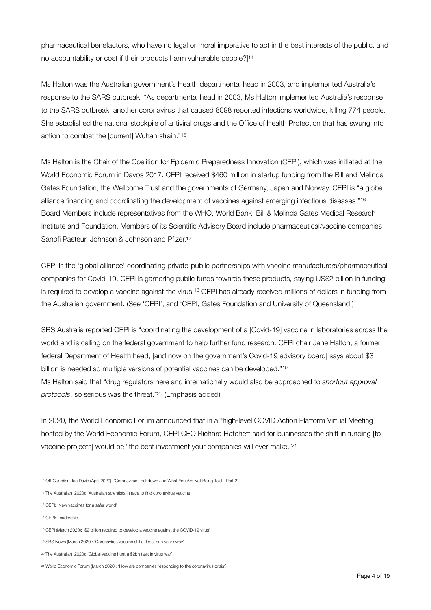<span id="page-3-8"></span>pharmaceutical benefactors, who have no legal or moral imperative to act in the best interests of the public, and no accountability or cost if their products harm vulnerable people?] [14](#page-3-0)

Ms Halton was the Australian government's Health departmental head in 2003, and implemented Australia's response to the SARS outbreak. "As departmental head in 2003, Ms Halton implemented Australia's response to the SARS outbreak, another coronavirus that caused 8098 reported infections worldwide, killing 774 people. She established the national stockpile of antiviral drugs and the Office of Health Protection that has swung into action to combat the [current] Wuhan strain."[15](#page-3-1)

<span id="page-3-10"></span><span id="page-3-9"></span>Ms Halton is the Chair of the Coalition for Epidemic Preparedness Innovation (CEPI), which was initiated at the World Economic Forum in Davos 2017. CEPI received \$460 million in startup funding from the Bill and Melinda Gates Foundation, the Wellcome Trust and the governments of Germany, Japan and Norway. CEPI is "a global alliance financing and coordinating the development of vaccines against emerging infectious diseases." [16](#page-3-2) Board Members include representatives from the WHO, World Bank, Bill & Melinda Gates Medical Research Institute and Foundation. Members of its Scientific Advisory Board include pharmaceutical/vaccine companies Sanofi Pasteur, Johnson & Johnson and Pfizer[.17](#page-3-3)

<span id="page-3-12"></span><span id="page-3-11"></span>CEPI is the 'global alliance' coordinating private-public partnerships with vaccine manufacturers/pharmaceutical companies for Covid-19. CEPI is garnering public funds towards these products, saying US\$2 billion in funding is required to develop a vaccine against the virus[.](#page-3-4)<sup>[18](#page-3-4)</sup> CEPI has already received millions of dollars in funding from the Australian government. (See 'CEPI', and 'CEPI, Gates Foundation and University of Queensland')

<span id="page-3-13"></span>SBS Australia reported CEPI is "coordinating the development of a [Covid-19] vaccine in laboratories across the world and is calling on the federal government to help further fund research. CEPI chair Jane Halton, a former federal Department of Health head, [and now on the government's Covid-19 advisory board] says about \$3 billion is needed so multiple versions of potential vaccines can be developed."<sup>[19](#page-3-5)</sup> Ms Halton said that "drug regulators here and internationally would also be approached to *shortcut approval protocols*, so serious was the threat.["](#page-3-6)<sup>[20](#page-3-6)</sup> (Emphasis added)

<span id="page-3-15"></span><span id="page-3-14"></span>In 2020, the World Economic Forum announced that in a "high-level COVID Action Platform Virtual Meeting hosted by the World Economic Forum, CEPI CEO Richard Hatchett said for businesses the shift in funding [to vaccine projects] would be "the best investment your companies will ever make.["21](#page-3-7)

<span id="page-3-3"></span><sup>17</sup> CEPI: [Leadership](https://cepi.net/about/whoweare/)

<span id="page-3-0"></span>[<sup>14</sup>](#page-3-8) Off-Guardian, Ian Davis (April 2020): ['Coronavirus Lockdown and What You Are Not Being Told - Part 2'](https://off-guardian.org/2020/04/20/coronavirus-lockdown-and-what-you-are-not-being-told-part-2/)

<span id="page-3-1"></span>[<sup>15</sup>](#page-3-9) The Australian (2020): ['Australian scientists in race to find coronavirus vaccine'](https://www.theaustralian.com.au/science/australian-scientists-in-race-to-find-coronavirus-vaccine/news-story/c97ad42fba31dba03c756336b6ca7cf9)

<span id="page-3-2"></span><sup>&</sup>lt;sup>16</sup> CEPI: ['New vaccines for a safer world'](https://cepi.net)

<span id="page-3-4"></span><sup>&</sup>lt;sup>18</sup> CEPI (March 2020): ['\\$2 billion required to develop a vaccine against the COVID-19 virus'](https://cepi.net/news_cepi/2-billion-required-to-develop-a-vaccine-against-the-covid-19-virus-2/)

<span id="page-3-5"></span>[<sup>19</sup>](#page-3-13) SBS News (March 2020): ['Coronavirus vaccine still at least one year away'](https://www.sbs.com.au/news/coronavirus-vaccine-still-at-least-one-year-away)

<span id="page-3-6"></span>[<sup>20</sup>](#page-3-14) The Australian (2020): ['Global vaccine hunt a \\$2bn task in virus war'](https://www.theaustralian.com.au/subscribe/news/1/?sourceCode=TAWEB_WRE170_a&dest=https://www.theaustralian.com.au/science/australian-scientists-in-race-to-find-coronavirus-vaccine/news-story/c97ad42fba31dba03c756336b6ca7cf9&memtype=anonymous&mode=premium)

<span id="page-3-7"></span>[<sup>21</sup>](#page-3-15) World Economic Forum (March 2020): ['How are companies responding to the coronavirus crisis?'](https://www.weforum.org/agenda/2020/03/how-are-companies-responding-to-the-coronavirus-crisis-d15bed6137/)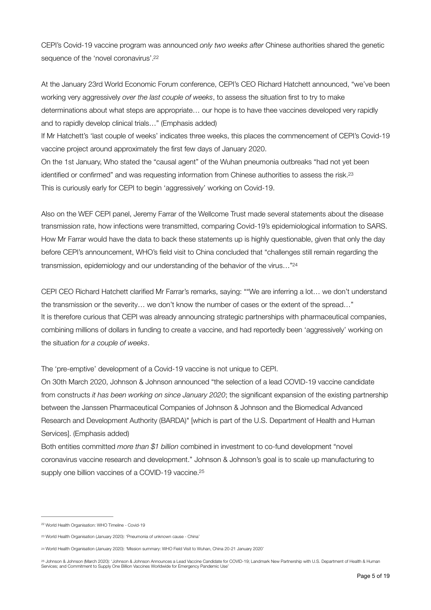<span id="page-4-4"></span>CEPI's Covid-19 vaccine program was announced *only two weeks after* Chinese authorities shared the genetic sequence of the 'novel coronavirus'[.22](#page-4-0)

At the January 23rd World Economic Forum conference, CEPI's CEO Richard Hatchett announced, "we've been working very aggressively *over the last couple of weeks*, to assess the situation first to try to make determinations about what steps are appropriate… our hope is to have thee vaccines developed very rapidly and to rapidly develop clinical trials…" (Emphasis added)

If Mr Hatchett's 'last couple of weeks' indicates three weeks, this places the commencement of CEPI's Covid-19 vaccine project around approximately the first few days of January 2020.

<span id="page-4-5"></span>On the 1st January, Who stated the "causal agent" of the Wuhan pneumonia outbreaks "had not yet been identified or confirmed" and was requesting information from Chinese authorities to assess the risk[.23](#page-4-1) This is curiously early for CEPI to begin 'aggressively' working on Covid-19.

Also on the WEF CEPI panel, Jeremy Farrar of the Wellcome Trust made several statements about the disease transmission rate, how infections were transmitted, comparing Covid-19's epidemiological information to SARS. How Mr Farrar would have the data to back these statements up is highly questionable, given that only the day before CEPI's announcement, WHO's field visit to China concluded that "challenges still remain regarding the transmission, epidemiology and our understanding of the behavior of the virus…["24](#page-4-2)

<span id="page-4-6"></span>CEPI CEO Richard Hatchett clarified Mr Farrar's remarks, saying: ""We are inferring a lot… we don't understand the transmission or the severity… we don't know the number of cases or the extent of the spread…" It is therefore curious that CEPI was already announcing strategic partnerships with pharmaceutical companies, combining millions of dollars in funding to create a vaccine, and had reportedly been 'aggressively' working on the situation *for a couple of weeks*.

The 'pre-emptive' development of a Covid-19 vaccine is not unique to CEPI.

On 30th March 2020, Johnson & Johnson announced "the selection of a lead COVID-19 vaccine candidate from constructs *it has been working on since January 2020*; the significant expansion of the existing partnership between the Janssen Pharmaceutical Companies of Johnson & Johnson and the Biomedical Advanced Research and Development Authority (BARDA)" [which is part of the U.S. Department of Health and Human Services]. (Emphasis added)

<span id="page-4-7"></span>Both entities committed *more than \$1 billion* combined in investment to co-fund development "novel coronavirus vaccine research and development." Johnson & Johnson's goal is to scale up manufacturing to supply one billion vaccines of a COVID-19 vaccine.<sup>25</sup>

<span id="page-4-0"></span><sup>&</sup>lt;sup>22</sup> World Health Organisation: [WHO Timeline - Covid-19](https://www.who.int/news-room/detail/08-04-2020-who-timeline---covid-19)

<span id="page-4-1"></span>[<sup>23</sup>](#page-4-5) World Health Organisation (January 2020): ['Pneumonia of unknown cause - China'](https://www.who.int/csr/don/05-january-2020-pneumonia-of-unkown-cause-china/en/)

<span id="page-4-2"></span>[<sup>24</sup>](#page-4-6) World Health Organisation (January 2020): ['Mission summary: WHO Field Visit to Wuhan, China 20-21 January 2020'](https://www.who.int/china/news/detail/22-01-2020-field-visit-wuhan-china-jan-2020)

<span id="page-4-3"></span>[<sup>25</sup>](#page-4-7) [Johnson & Johnson \(March 2020\): 'Johnson & Johnson Announces a Lead Vaccine Candidate for COVID-19; Landmark New Partnership with U.S. Department of Health & Human](https://www.jnj.com/johnson-johnson-announces-a-lead-vaccine-candidate-for-covid-19-landmark-new-partnership-with-u-s-department-of-health-human-services-and-commitment-to-supply-one-billion-vaccines-worldwide-for-emergency-pandemic-use)  [Services; and Commitment to Supply One Billion Vaccines Worldwide for Emergency Pandemic Use'](https://www.jnj.com/johnson-johnson-announces-a-lead-vaccine-candidate-for-covid-19-landmark-new-partnership-with-u-s-department-of-health-human-services-and-commitment-to-supply-one-billion-vaccines-worldwide-for-emergency-pandemic-use)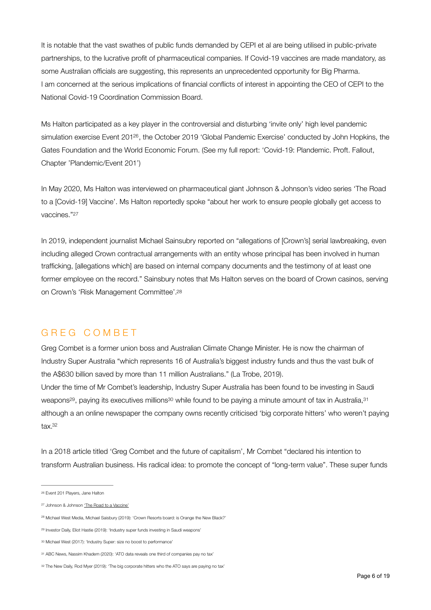It is notable that the vast swathes of public funds demanded by CEPI et al are being utilised in public-private partnerships, to the lucrative profit of pharmaceutical companies. If Covid-19 vaccines are made mandatory, as some Australian officials are suggesting, this represents an unprecedented opportunity for Big Pharma. I am concerned at the serious implications of financial conflicts of interest in appointing the CEO of CEPI to the National Covid-19 Coordination Commission Board.

<span id="page-5-7"></span>Ms Halton participated as a key player in the controversial and disturbing 'invite only' high level pandemic simulation exercise Event 201<sup>26</sup>[,](#page-5-0) the October 2019 'Global Pandemic Exercise' conducted by John Hopkins, the Gates Foundation and the World Economic Forum. (See my full report: 'Covid-19: Plandemic. Proft. Fallout, Chapter 'Plandemic/Event 201')

<span id="page-5-8"></span>In May 2020, Ms Halton was interviewed on pharmaceutical giant Johnson & Johnson's video series 'The Road to a [Covid-19] Vaccine'. Ms Halton reportedly spoke "about her work to ensure people globally get access to vaccines."[27](#page-5-1)

In 2019, independent journalist Michael Sainsubry reported on "allegations of [Crown's] serial lawbreaking, even including alleged Crown contractual arrangements with an entity whose principal has been involved in human trafficking, [allegations which] are based on internal company documents and the testimony of at least one former employee on the record." Sainsbury notes that Ms Halton serves on the board of Crown casinos, serving on Crown's 'Risk Management Committee'[.28](#page-5-2)

#### <span id="page-5-9"></span>GREG COMBET

Greg Combet is a former union boss and Australian Climate Change Minister. He is now the chairman of Industry Super Australia "which represents 16 of Australia's biggest industry funds and thus the vast bulk of the A\$630 billion saved by more than 11 million Australians." (La Trobe, 2019).

<span id="page-5-12"></span><span id="page-5-11"></span><span id="page-5-10"></span>Under the time of Mr Combet's leadership, Industry Super Australia has been found to be investing in Saudi weapon[s](#page-5-4)<sup>[29](#page-5-3)</sup>, paying its executives millions<sup>30</sup> while found to be paying a minute amount of tax in Australia, <sup>[31](#page-5-5)</sup> although a an online newspaper the company owns recently criticised 'big corporate hitters' who weren't paying tax[.32](#page-5-6)

<span id="page-5-13"></span>In a 2018 article titled 'Greg Combet and the future of capitalism', Mr Combet "declared his intention to transform Australian business. His radical idea: to promote the concept of "long-term value". These super funds

<span id="page-5-0"></span>[<sup>26</sup>](#page-5-7) Event 201 Players, [Jane Halton](http://www.centerforhealthsecurity.org/event201/players/halton.html)

<span id="page-5-1"></span><sup>&</sup>lt;sup>27</sup> Johnson & Johnson ['The Road to a Vaccine'](https://www.jnj.com/latest-news/the-road-to-covid-19-vaccine-live-video-series)

<span id="page-5-2"></span><sup>&</sup>lt;sup>28</sup> Michael West Media, Michael Saisbury (2019): '[Crown Resorts board: is Orange the New Black?'](https://www.michaelwest.com.au/crown-resorts-board-is-orange-the-new-black/)

<span id="page-5-3"></span><sup>&</sup>lt;sup>29</sup> Investor Daily, Eliot Hastie (2019): '[Industry super funds investing in Saudi weapons'](https://www.investordaily.com.au/superannuation/44669-industry-super-funds-investing-in-saudi-weapons)

<span id="page-5-4"></span>[<sup>30</sup>](#page-5-11) Michael West (2017): ['Industry Super: size no boost to performance'](https://www.michaelwest.com.au/industry-super-size-no-boost-to-performance/)

<span id="page-5-5"></span>[<sup>31</sup>](#page-5-12) ABC News, Nassim Khadem (2020): ['ATO data reveals one third of companies pay no tax'](https://www.abc.net.au/news/2019-12-12/ato-corporate-tax-transparency-data-companies-no-tax-paid/11789048)

<span id="page-5-6"></span>[<sup>32</sup>](#page-5-13) The New Daily, Rod Myer (2019): '[The big corporate hitters who the ATO says are paying no tax'](https://thenewdaily.com.au/finance/finance-news/2019/12/12/tax-big-corporations-pay-none/)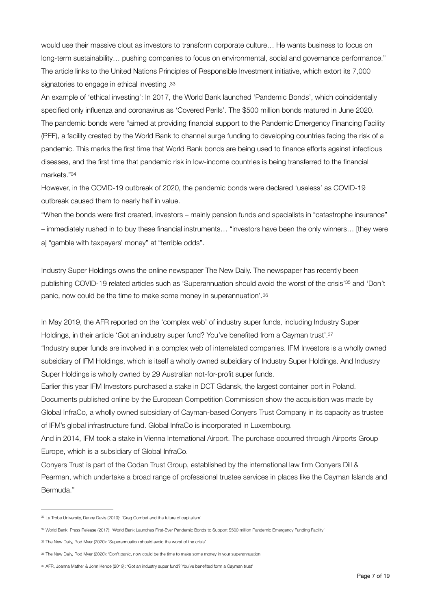would use their massive clout as investors to transform corporate culture… He wants business to focus on long-term sustainability... pushing companies to focus on environmental, social and governance performance." The article links to the United Nations Principles of Responsible Investment initiative, which extort its 7,000 signatories to engage in ethical investing [.33](#page-6-0)

<span id="page-6-5"></span>An example of 'ethical investing': In 2017, the World Bank launched 'Pandemic Bonds', which coincidentally specified only influenza and coronavirus as 'Covered Perils'. The \$500 million bonds matured in June 2020. The pandemic bonds were "aimed at providing financial support to the Pandemic Emergency Financing Facility (PEF), a facility created by the World Bank to channel surge funding to developing countries facing the risk of a pandemic. This marks the first time that World Bank bonds are being used to finance efforts against infectious diseases, and the first time that pandemic risk in low-income countries is being transferred to the financial markets.["34](#page-6-1)

<span id="page-6-6"></span>However, in the COVID-19 outbreak of 2020, the pandemic bonds were declared 'useless' as COVID-19 outbreak caused them to nearly half in value.

"When the bonds were first created, investors – mainly pension funds and specialists in "catastrophe insurance" – immediately rushed in to buy these financial instruments… "investors have been the only winners… [they were a] "gamble with taxpayers' money" at "terrible odds".

<span id="page-6-8"></span><span id="page-6-7"></span>Industry Super Holdings owns the online newspaper The New Daily. The newspaper has recently been publishing COVID-19 related articles such as 'Superannuation should avoid the worst of the crisis'<sup>[35](#page-6-2)</sup> and 'Don't panic, now could be the time to make some money in superannuation'.[36](#page-6-3)

<span id="page-6-9"></span>In May 2019, the AFR reported on the 'complex web' of industry super funds, including Industry Super Holdings, in their article 'Got an industry super fund? You've benefited from a Cayman trust'[.37](#page-6-4) "Industry super funds are involved in a complex web of interrelated companies. IFM Investors is a wholly owned subsidiary of IFM Holdings, which is itself a wholly owned subsidiary of Industry Super Holdings. And Industry Super Holdings is wholly owned by 29 Australian not-for-profit super funds.

Earlier this year IFM Investors purchased a stake in DCT Gdansk, the largest container port in Poland. Documents published online by the European Competition Commission show the acquisition was made by Global InfraCo, a wholly owned subsidiary of Cayman-based Conyers Trust Company in its capacity as trustee of IFM's global infrastructure fund. Global InfraCo is incorporated in Luxembourg.

And in 2014, IFM took a stake in Vienna International Airport. The purchase occurred through Airports Group Europe, which is a subsidiary of Global InfraCo.

Conyers Trust is part of the Codan Trust Group, established by the international law firm Conyers Dill & Pearman, which undertake a broad range of professional trustee services in places like the Cayman Islands and Bermuda."

<span id="page-6-0"></span><sup>&</sup>lt;sup>33</sup> La Trobe University, Danny Davis (2019): '[Greg Combet and the future of capitalism'](https://www.latrobe.edu.au/news/articles/2018/opinion/greg-combet-and-the-future-of-capitalism)

<span id="page-6-1"></span>World Bank, Press Release (2017): ['World Bank Launches First-Ever Pandemic Bonds to Support \\$500 million Pandemic Emergency Funding Facility'](https://www.worldbank.org/en/news/press-release/2017/06/28/world-bank-launches-first-ever-pandemic-bonds-to-support-500-million-pandemic-emergency-financing-facility) [34](#page-6-6)

<span id="page-6-2"></span>[<sup>35</sup>](#page-6-7) The New Daily, Rod Myer (2020): ['Superannuation should avoid the worst of the crisis'](https://thenewdaily.com.au/finance/superannuation/2020/02/12/superannuation-coronavirus/)

<span id="page-6-3"></span>[<sup>36</sup>](#page-6-8) The New Daily, Rod Myer (2020): '[Don't panic, now could be the time to make some money in your superannuation'](https://thenewdaily.com.au/finance/superannuation/2020/03/04/dont-panic-in-superannuation/)

<span id="page-6-4"></span>[<sup>37</sup>](#page-6-9) AFR, Joanna Mather & John Kehoe (2019): ['Got an industry super fund? You've benefited form a Cayman trust'](https://www.afr.com/policy/tax-and-super/got-an-industry-super-fund-you-ve-benefited-from-a-cayman-trust-20190508-p51l8j)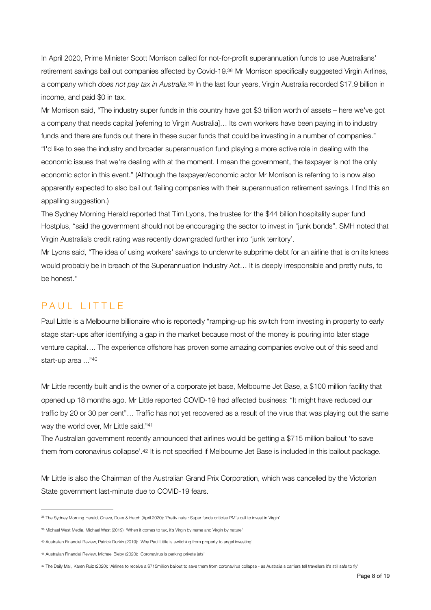<span id="page-7-6"></span><span id="page-7-5"></span>In April 2020, Prime Minister Scott Morrison called for not-for-profit superannuation funds to use Australians' retirement savings bail out companies affected by Covid-19[.](#page-7-0)<sup>[38](#page-7-0)</sup> Mr Morrison specifically suggested Virgin Airlines, a company which *does not pay tax in Australia*.<sup>[39](#page-7-1)</sup> In the last four years, Virgin Australia recorded \$17.9 billion in income, and paid \$0 in tax.

Mr Morrison said, "The industry super funds in this country have got \$3 trillion worth of assets – here we've got a company that needs capital [referring to Virgin Australia]… Its own workers have been paying in to industry funds and there are funds out there in these super funds that could be investing in a number of companies." "I'd like to see the industry and broader superannuation fund playing a more active role in dealing with the economic issues that we're dealing with at the moment. I mean the government, the taxpayer is not the only economic actor in this event." (Although the taxpayer/economic actor Mr Morrison is referring to is now also apparently expected to also bail out flailing companies with their superannuation retirement savings. I find this an appalling suggestion.)

The Sydney Morning Herald reported that Tim Lyons, the trustee for the \$44 billion hospitality super fund Hostplus, "said the government should not be encouraging the sector to invest in "junk bonds". SMH noted that Virgin Australia's credit rating was recently downgraded further into 'junk territory'.

Mr Lyons said, "The idea of using workers' savings to underwrite subprime debt for an airline that is on its knees would probably be in breach of the Superannuation Industry Act… It is deeply irresponsible and pretty nuts, to be honest."

### PAUL LITTLE

Paul Little is a Melbourne billionaire who is reportedly "ramping-up his switch from investing in property to early stage start-ups after identifying a gap in the market because most of the money is pouring into later stage venture capital…. The experience offshore has proven some amazing companies evolve out of this seed and start-up area ...["40](#page-7-2)

<span id="page-7-7"></span>Mr Little recently built and is the owner of a corporate jet base, Melbourne Jet Base, a \$100 million facility that opened up 18 months ago. Mr Little reported COVID-19 had affected business: "It might have reduced our traffic by 20 or 30 per cent"… Traffic has not yet recovered as a result of the virus that was playing out the same way the world over, Mr Little said.["41](#page-7-3)

<span id="page-7-9"></span><span id="page-7-8"></span>The Australian government recently announced that airlines would be getting a \$715 million bailout 'to save them from coronavirus collapse'[.](#page-7-4)<sup>[42](#page-7-4)</sup> It is not specified if Melbourne Jet Base is included in this bailout package.

Mr Little is also the Chairman of the Australian Grand Prix Corporation, which was cancelled by the Victorian State government last-minute due to COVID-19 fears.

<span id="page-7-0"></span><sup>&</sup>lt;sup>38</sup> The Sydney Morning Herald, Grieve, Duke & Hatch (April 2020): ['Pretty nuts': Super funds criticise PM's call to invest in Virgin'](https://www.smh.com.au/politics/federal/super-funds-question-pm-s-call-to-invest-in-virgin-20200417-p54koq.html)

<span id="page-7-1"></span><sup>39</sup> Michael West Media, Michael West (2019): ['When it comes to tax, it's Virgin by name and Virgin by nature'](https://www.michaelwest.com.au/when-it-comes-to-tax-its-virgin-by-name-and-virgin-by-nature/)

<span id="page-7-2"></span>[<sup>40</sup>](#page-7-7) Australian Financial Review, Patrick Durkin (2019): ['Why Paul Little is switching from property to angel investing'](https://www.afr.com/technology/why-paul-little-is-switching-from-property-to-angel-investing-20191004-p52xsa)

<span id="page-7-3"></span>[<sup>41</sup>](#page-7-8) Australian Financial Review, Michael Bleby (2020): ['Coronavirus is parking private jets'](https://www.commercialrealestate.com.au/news/coronavirus-is-parking-private-jets-2-936799/)

<span id="page-7-4"></span>[<sup>42</sup>](#page-7-9) The Daily Mail, Karen Ruiz (2020): ['Airlines to receive a \\$715million bailout to save them from coronavirus collapse - as Australia's carriers tell travellers it's still safe to fly'](https://www.dailymail.co.uk/news/article-8123159/Airlines-715million-bail-save-coronavirus-collapse.html)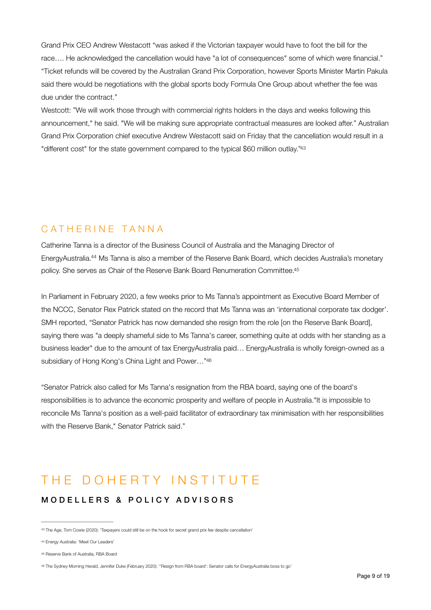Grand Prix CEO Andrew Westacott "was asked if the Victorian taxpayer would have to foot the bill for the race…. He acknowledged the cancellation would have "a lot of consequences" some of which were financial." "Ticket refunds will be covered by the Australian Grand Prix Corporation, however Sports Minister Martin Pakula said there would be negotiations with the global sports body Formula One Group about whether the fee was due under the contract."

<span id="page-8-4"></span>Westcott: "We will work those through with commercial rights holders in the days and weeks following this announcement," he said. "We will be making sure appropriate contractual measures are looked after." Australian Grand Prix Corporation chief executive Andrew Westacott said on Friday that the cancellation would result in a "different cost" for the state government compared to the typical \$60 million outlay.["43](#page-8-0)

# CATHERINE TANNA

<span id="page-8-6"></span><span id="page-8-5"></span>Catherine Tanna is a director of the Business Council of Australia and the Managing Director of EnergyAustralia[.](#page-8-1)<sup>[44](#page-8-1)</sup> Ms Tanna is also a member of the Reserve Bank Board, which decides Australia's monetary policy. She serves as Chair of the Reserve Bank Board Renumeration Committee[.45](#page-8-2)

In Parliament in February 2020, a few weeks prior to Ms Tanna's appointment as Executive Board Member of the NCCC, Senator Rex Patrick stated on the record that Ms Tanna was an 'international corporate tax dodger'. SMH reported, "Senator Patrick has now demanded she resign from the role [on the Reserve Bank Board], saying there was "a deeply shameful side to Ms Tanna's career, something quite at odds with her standing as a business leader" due to the amount of tax EnergyAustralia paid… EnergyAustralia is wholly foreign-owned as a subsidiary of Hong Kong's China Light and Power…["46](#page-8-3)

<span id="page-8-7"></span>"Senator Patrick also called for Ms Tanna's resignation from the RBA board, saying one of the board's responsibilities is to advance the economic prosperity and welfare of people in Australia."It is impossible to reconcile Ms Tanna's position as a well-paid facilitator of extraordinary tax minimisation with her responsibilities with the Reserve Bank," Senator Patrick said."

# THE DOHERTY INSTITUTE

#### MODELLERS & POLICY ADVISORS

<span id="page-8-1"></span>[44](#page-8-5) Energy Australia: ['Meet Our Leaders'](https://www.energyaustralia.com.au/about-us/careers/meet-our-people/meet-our-leaders)

<span id="page-8-0"></span><sup>43</sup> The Age, Tom Cowie (2020): '[Taxpayers could still be on the hook for secret grand prix fee despite cancellation'](https://www.theage.com.au/national/victoria/taxpayers-could-still-be-on-the-hook-for-secret-grand-prix-fee-despite-cancellation-20200314-p54a25.html)

<span id="page-8-2"></span>[<sup>45</sup>](#page-8-6) Reserve Bank of Australia, [RBA Board](https://www.rba.gov.au/about-rba/boards/rba-board.html)

<span id="page-8-3"></span>[<sup>46</sup>](#page-8-7) The Sydney Morning Herald, Jennifer Duke (February 2020): ''[Resign from RBA board': Senator calls for EnergyAustralia boss to go'](https://www.smh.com.au/politics/federal/resign-from-rba-board-senator-calls-for-energyaustralia-boss-to-go-20200226-p544k9.html)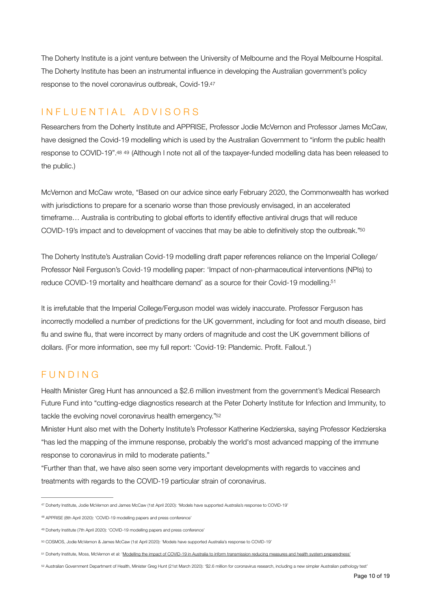<span id="page-9-6"></span>The Doherty Institute is a joint venture between the University of Melbourne and the Royal Melbourne Hospital. The Doherty Institute has been an instrumental influence in developing the Australian government's policy response to the novel coronavirus outbreak, Covid-19[.](#page-9-0)[47](#page-9-0)

# INFLUENTIAL ADVISORS

<span id="page-9-8"></span><span id="page-9-7"></span>Researchers from the Doherty Institute and APPRISE, Professor Jodie McVernon and Professor James McCaw, have designed the Covid-19 modelling which is used by the Australian Government to "inform the public health response to COVID-19"[.](#page-9-1)[48](#page-9-1) 49 (Although I note not all of the taxpayer-funded modelling data has been released to the public.)

McVernon and McCaw wrote, "Based on our advice since early February 2020, the Commonwealth has worked with jurisdictions to prepare for a scenario worse than those previously envisaged, in an accelerated timeframe… Australia is contributing to global efforts to identify effective antiviral drugs that will reduce COVID-19's impact and to development of vaccines that may be able to definitively stop the outbreak.["50](#page-9-3)

<span id="page-9-10"></span><span id="page-9-9"></span>The Doherty Institute's Australian Covid-19 modelling draft paper references reliance on the Imperial College/ Professor Neil Ferguson's Covid-19 modelling paper: 'Impact of non-pharmaceutical interventions (NPIs) to reduce COVID-19 mortality and healthcare demand' as a source for their Covid-19 modelling[.](#page-9-4) [51](#page-9-4)

It is irrefutable that the Imperial College/Ferguson model was widely inaccurate. Professor Ferguson has incorrectly modelled a number of predictions for the UK government, including for foot and mouth disease, bird flu and swine flu, that were incorrect by many orders of magnitude and cost the UK government billions of dollars. (For more information, see my full report: 'Covid-19: Plandemic. Profit. Fallout.')

# FUNDING

Health Minister Greg Hunt has announced a \$2.6 million investment from the government's Medical Research Future Fund into "cutting-edge diagnostics research at the Peter Doherty Institute for Infection and Immunity, to tackle the evolving novel coronavirus health emergency.["52](#page-9-5)

<span id="page-9-11"></span>Minister Hunt also met with the Doherty Institute's Professor Katherine Kedzierska, saying Professor Kedzierska "has led the mapping of the immune response, probably the world's most advanced mapping of the immune response to coronavirus in mild to moderate patients."

"Further than that, we have also seen some very important developments with regards to vaccines and treatments with regards to the COVID-19 particular strain of coronavirus.

<span id="page-9-0"></span>Doherty Institute, Jodie McVernon and James McCaw (1st April 2020): ['Models have supported Australia's response to COVID-19'](https://www.doherty.edu.au/news-events/news/models-have-supported-australias-response-to-covid-19) [47](#page-9-6)

<span id="page-9-1"></span><sup>48</sup> APPRISE (8th April 2020): ['COVID-19 modelling papers and press conference'](https://www.apprise.org.au/covid-19-modelling-papers-and-press-conference/)

<span id="page-9-2"></span><sup>49</sup> Doherty Institute (7th April 2020): ['COVID-19 modelling papers and press conference'](https://www.doherty.edu.au/news-events/news/covid-19-modelling-papers)

<span id="page-9-3"></span>[<sup>50</sup>](#page-9-9) COSMOS, Jodie McVernon & James McCaw (1st April 2020): ['Models have supported Australia's response to COVID-19'](https://cosmosmagazine.com/biology/models-have-supported-australia-s-response-to-covid-19)

<span id="page-9-4"></span><sup>&</sup>lt;sup>[51](#page-9-10)</sup> Doherty Institute, Moss, McVernon et al: '<u>Modelling the impact of COVID-19 in Australia to inform transmission reducing measures and health system preparedness'</u>

<span id="page-9-5"></span>[<sup>52</sup>](#page-9-11) Australian Government Department of Health, Minister Greg Hunt (21st March 2020): ['\\$2.6 million for coronavirus research, including a new simpler Australian pathology test'](https://www.health.gov.au/ministers/the-hon-greg-hunt-mp/media/26-million-for-coronavirus-research-including-a-new-simpler-australian-pathology-test)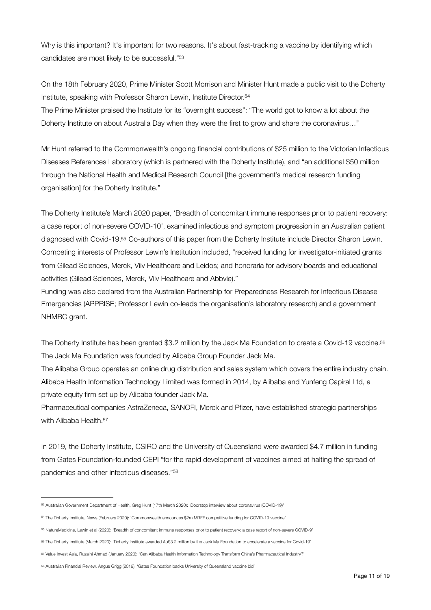<span id="page-10-6"></span>Why is this important? It's important for two reasons. It's about fast-tracking a vaccine by identifying which candidates are most likely to be successful.["53](#page-10-0)

<span id="page-10-7"></span>On the 18th February 2020, Prime Minister Scott Morrison and Minister Hunt made a public visit to the Doherty Institute, speaking with Professor Sharon Lewin, Institute Director[.54](#page-10-1)

The Prime Minister praised the Institute for its "overnight success": "The world got to know a lot about the Doherty Institute on about Australia Day when they were the first to grow and share the coronavirus…"

Mr Hunt referred to the Commonwealth's ongoing financial contributions of \$25 million to the Victorian Infectious Diseases References Laboratory (which is partnered with the Doherty Institute), and "an additional \$50 million through the National Health and Medical Research Council [the government's medical research funding organisation] for the Doherty Institute."

<span id="page-10-8"></span>The Doherty Institute's March 2020 paper, 'Breadth of concomitant immune responses prior to patient recovery: a case report of non-severe COVID-10', examined infectious and symptom progression in an Australian patient diagnosed with Covid-19.<sup>[55](#page-10-2)</sup> Co-authors of this paper from the Doherty Institute include Director Sharon Lewin. Competing interests of Professor Lewin's Institution included, "received funding for investigator-initiated grants from Gilead Sciences, Merck, Viiv Healthcare and Leidos; and honoraria for advisory boards and educational activities (Gilead Sciences, Merck, Viiv Healthcare and Abbvie)."

Funding was also declared from the Australian Partnership for Preparedness Research for Infectious Disease Emergencies (APPRISE; Professor Lewin co-leads the organisation's laboratory research) and a government NHMRC grant.

<span id="page-10-9"></span>The Doherty Institute has been granted \$3.2 million by the Jack Ma Foundation to create a Covid-19 vaccine[.56](#page-10-3) The Jack Ma Foundation was founded by Alibaba Group Founder Jack Ma.

The Alibaba Group operates an online drug distribution and sales system which covers the entire industry chain. Alibaba Health Information Technology Limited was formed in 2014, by Alibaba and Yunfeng Capiral Ltd, a private equity firm set up by Alibaba founder Jack Ma.

<span id="page-10-10"></span>Pharmaceutical companies AstraZeneca, SANOFI, Merck and Pfizer, have established strategic partnerships with Alibaba Health.<sup>57</sup>

<span id="page-10-11"></span>In 2019, the Doherty Institute, CSIRO and the University of Queensland were awarded \$4.7 million in funding from Gates Foundation-founded CEPI "for the rapid development of vaccines aimed at halting the spread of pandemics and other infectious diseases."[58](#page-10-5)

<span id="page-10-0"></span>Australian Government Department of Health, Greg Hunt (17th March 2020): ['Doorstop interview about coronavirus \(COVID-19\)'](https://www.health.gov.au/ministers/the-hon-greg-hunt-mp/media/doorstop-interview-about-coronavirus-covid-19-0) [53](#page-10-6)

<span id="page-10-1"></span>The Doherty Institute, News (February 2020): ['Commonwealth announces \\$2m MRFF competitive funding for COVID-19 vaccine'](https://www.doherty.edu.au/news-events/news/commonwealth-announces-2m-mrff-competitive-funding-for-covid-19-vaccine) [54](#page-10-7)

<span id="page-10-2"></span>NatureMedicine, Lewin et al (2020): ['Breadth of concomitant immune responses prior to patient recovery: a case report of non-severe COVID-9'](https://www.nature.com/articles/s41591-020-0819-2) [55](#page-10-8)

<span id="page-10-3"></span>[<sup>56</sup>](#page-10-9) The Doherty Institute (March 2020): ['Doherty Institute awarded Au\\$3.2 million by the Jack Ma Foundation to accelerate a vaccine for Covid-19'](https://www.doherty.edu.au/news-events/news/doherty-institute-awarded-au3.2-million-by-jack-ma-foundation-to-accelerate-a-vaccine-for-covid-19)

<span id="page-10-4"></span>[<sup>57</sup>](#page-10-10) Value Invest Asia, Ruzaini Ahmad (January 2020): ['Can Alibaba Health Information Technology Transform China's Pharmaceutical Industry?'](https://valueinvestasia.com/can-alibaba-health-information-technology-transform-chinas-pharmaceutical-industry/)

<span id="page-10-5"></span>[<sup>58</sup>](#page-10-11) Australian Financial Review, Angus Grigg (2019): ['Gates Foundation backs University of Queensland vaccine bid'](https://www.afr.com/companies/healthcare-and-fitness/gates-foundation-backs-university-of-queensland-vaccine-bid-20190115-h1a31d)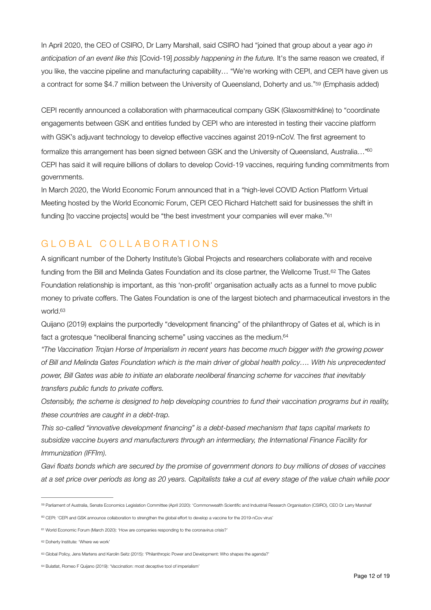In April 2020, the CEO of CSIRO, Dr Larry Marshall, said CSIRO had "joined that group about a year ago *in anticipation of an event like this* [Covid-19] *possibly happening in the future.* It's the same reason we created, if you like, the vaccine pipeline and manufacturing capability… "We're working with CEPI, and CEPI have given us a contract for some \$4.7 million between the University of Queensland, Doherty and us.["](#page-11-0)<sup>[59](#page-11-0)</sup> (Emphasis added)

<span id="page-11-7"></span><span id="page-11-6"></span>CEPI recently announced a collaboration with pharmaceutical company GSK (Glaxosmithkline) to "coordinate engagements between GSK and entities funded by CEPI who are interested in testing their vaccine platform with GSK's adjuvant technology to develop effective vaccines against 2019-nCoV. The first agreement to formalize this arrangement has been signed between GSK and the University of Queensland, Australia..."<sup>60</sup> CEPI has said it will require billions of dollars to develop Covid-19 vaccines, requiring funding commitments from governments.

<span id="page-11-8"></span>In March 2020, the World Economic Forum announced that in a "high-level COVID Action Platform Virtual Meeting hosted by the World Economic Forum, CEPI CEO Richard Hatchett said for businesses the shift in funding [to vaccine projects] would be "the best investment your companies will ever make."[61](#page-11-2)

### GLOBAL COLLABORATIONS

<span id="page-11-9"></span>A significant number of the Doherty Institute's Global Projects and researchers collaborate with and receive funding from the Bill and Melinda Gates Foundation and its close partner, the Wellcome Trust.<sup>[62](#page-11-3)</sup> The Gates Foundation relationship is important, as this 'non-profit' organisation actually acts as a funnel to move public money to private coffers. The Gates Foundation is one of the largest biotech and pharmaceutical investors in the world[.63](#page-11-4)

<span id="page-11-11"></span><span id="page-11-10"></span>Quijano (2019) explains the purportedly "development financing" of the philanthropy of Gates et al, which is in fact a grotesque "neoliberal financing scheme" using vaccines as the medium.<sup>64</sup>

*"The Vaccination Trojan Horse of Imperialism in recent years has become much bigger with the growing power of Bill and Melinda Gates Foundation which is the main driver of global health policy…. With his unprecedented power, Bill Gates was able to initiate an elaborate neoliberal financing scheme for vaccines that inevitably transfers public funds to private coffers.* 

*Ostensibly, the scheme is designed to help developing countries to fund their vaccination programs but in reality, these countries are caught in a debt-trap.* 

*This so-called "innovative development financing" is a debt-based mechanism that taps capital markets to subsidize vaccine buyers and manufacturers through an intermediary, the International Finance Facility for Immunization (IFFIm).* 

*Gavi floats bonds which are secured by the promise of government donors to buy millions of doses of vaccines at a set price over periods as long as 20 years. Capitalists take a cut at every stage of the value chain while poor* 

<span id="page-11-0"></span><sup>50</sup> Parliament of Australia, Senate Economics Legislation Committee (April 2020): ['Commonwealth Scientific and Industrial Research Organisation \(CSIRO\), CEO Dr Larry Marshall'](https://parlinfo.aph.gov.au/parlInfo/search/display/display.w3p%3Bquery=Id:%2522committees/estimate/93344a90-e14d-4d1a-8d9c-11d80857bebf/0003%2522%3Bsrc1=sm1)

<span id="page-11-1"></span><sup>&</sup>lt;sup>60</sup> CEPI: ['CEPI and GSK announce collaboration to strengthen the global effort to develop a vaccine for the 2019-nCov virus'](https://cepi.net/news_cepi/cepi-and-gsk-announce-collaboration-to-strengthen-the-global-effort-to-develop-a-vaccine-for-the-2019-ncov-virus/)

<span id="page-11-2"></span><sup>&</sup>lt;sup>61</sup> World Economic Forum (March 2020): ['How are companies responding to the coronavirus crisis?'](https://www.weforum.org/agenda/2020/03/how-are-companies-responding-to-the-coronavirus-crisis-d15bed6137/)

<span id="page-11-3"></span>[<sup>62</sup>](#page-11-9) Doherty Institute: ['Where we work'](https://www.doherty.edu.au/our-work/where-we-work)

<span id="page-11-4"></span>[<sup>63</sup>](#page-11-10) Global Policy, Jens Martens and Karolin Seitz (2015): '[Philanthropic Power and Development: Who shapes the agenda?'](https://www.globalpolicy.org/images/pdfs/GPFEurope/Philanthropic_Power_online.pdf)

<span id="page-11-5"></span>[<sup>64</sup>](#page-11-11) Bulatlat, Romeo F Quijano (2019): ['Vaccination: most deceptive tool of imperialism'](https://www.bulatlat.com/2019/10/12/vaccination-most-deceptive-tool-of-imperialism/)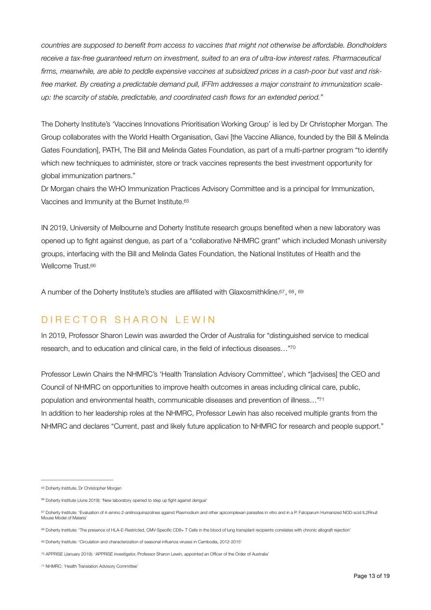*countries are supposed to benefit from access to vaccines that might not otherwise be affordable. Bondholders*  receive a tax-free guaranteed return on investment, suited to an era of ultra-low interest rates. Pharmaceutical *firms, meanwhile, are able to peddle expensive vaccines at subsidized prices in a cash-poor but vast and riskfree market. By creating a predictable demand pull, IFFIm addresses a major constraint to immunization scaleup: the scarcity of stable, predictable, and coordinated cash flows for an extended period."* 

The Doherty Institute's 'Vaccines Innovations Prioritisation Working Group' is led by Dr Christopher Morgan. The Group collaborates with the World Health Organisation, [Gavi](https://www.gavi.org/) [the Vaccine Alliance, founded by the Bill & Melinda Gates Foundation], [PATH](https://www.path.org/), The [Bill and Melinda Gates Foundation,](https://www.gatesfoundation.org/) as part of a multi-partner program "to identify which new techniques to administer, store or track vaccines represents the best investment opportunity for global immunization partners."

<span id="page-12-7"></span>Dr Morgan chairs the WHO Immunization Practices Advisory Committee and is a principal for Immunization, Vaccines and Immunity at the Burnet Institute[.65](#page-12-0)

IN 2019, University of Melbourne and Doherty Institute research groups benefited when a new laboratory was opened up to fight against dengue, as part of a "collaborative NHMRC grant" which included Monash university groups, interfacing with the Bill and Melinda Gates Foundation, the National Institutes of Health and the Wellcome Trust.<sup>66</sup>

<span id="page-12-11"></span><span id="page-12-10"></span><span id="page-12-9"></span><span id="page-12-8"></span>Anumber of the Doherty Institute's studies are affiliated with Glaxosmithkline. $67, 68, 69$  $67, 68, 69$  $67, 68, 69$ 

### DIRECTOR SHARON LEWIN

<span id="page-12-12"></span>In 2019, Professor Sharon Lewin was awarded the Order of Australia for "distinguished service to medical research, and to education and clinical care, in the field of infectious diseases…["70](#page-12-5)

<span id="page-12-13"></span>Professor Lewin Chairs the NHMRC's 'Health Translation Advisory Committee', which "[advises] the CEO and Council of NHMRC on opportunities to improve health outcomes in areas including clinical care, public, population and environmental health, communicable diseases and prevention of illness…["71](#page-12-6) In addition to her leadership roles at the NHMRC, Professor Lewin has also received multiple grants from the NHMRC and declares "Current, past and likely future application to NHMRC for research and people support."

<span id="page-12-0"></span>[<sup>65</sup>](#page-12-7) Doherty Institute, [Dr Christopher Morgan](https://www.doherty.edu.au/people/dr-christopher-morgan)

<span id="page-12-1"></span><sup>&</sup>lt;sup>66</sup> Doherty Institute (June 2019): ['New laboratory opened to step up fight against dengue'](https://www.doherty.edu.au/news-events/news/new-laboratory-opened-to-step-up-fight-against-dengue)

<span id="page-12-2"></span><sup>&</sup>lt;sup>[67](#page-12-9)</sup> Doherty Institute: 'Evaluation of 4-amino 2-anilinoquinazolines against Plasmodium and other apicomplexan parasites in vitro and in a P. Falciparum Humanized NOD-scid IL2Rnull [Mouse Model of Malaria'](https://www.doherty.edu.au/news-events/publications/publication?id=85062300064&content-type=abstract)

<span id="page-12-3"></span>Doherty Institute: ['The presence of HLA-E-Restricted, CMV-Specific CD8+ T Cells in the blood of lung transplant recipients correlates with chronic allograft rejection'](https://www.doherty.edu.au/news-events/publications/publication?id=84943158720&content-type=abstract) [68](#page-12-10)

<span id="page-12-4"></span>[<sup>69</sup>](#page-12-11) Doherty Institute: ['Circulation and characterization of seasonal influenza viruses in Cambodia, 2012-2015'](https://www.doherty.edu.au/news-events/publications/publication?id=85068224342&content-type=abstract)

<span id="page-12-5"></span>[<sup>70</sup>](#page-12-12) APPRISE (January 2019): ['APPRISE investigator, Professor Sharon Lewin, appointed an Officer of the Order of Australia'](https://www.apprise.org.au/apprise-investigator-professor-sharon-lewin-appointed-an-officer-ao-of-the-order-of-australia/)

<span id="page-12-6"></span>[<sup>71</sup>](#page-12-13) NHMRC: ['Health Translation Advisory Committee'](https://www.nhmrc.gov.au/about-us/leadership-and-governance/committees/health-translation-advisory-committee-htac)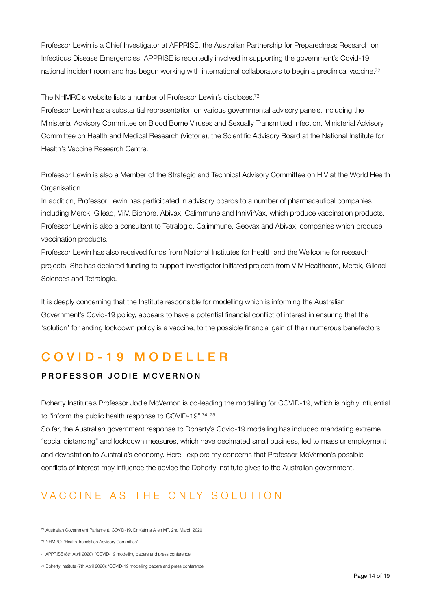<span id="page-13-4"></span>Professor Lewin is a Chief Investigator at APPRISE, the Australian Partnership for Preparedness Research on Infectious Disease Emergencies. APPRISE is reportedly involved in supporting the government's Covid-19 national incident room and has begun working with international collaborators to begin a preclinical vaccine[.72](#page-13-0)

<span id="page-13-5"></span>The NHMRC's website lists a number of Professor Lewin's discloses[.73](#page-13-1)

Professor Lewin has a substantial representation on various governmental advisory panels, including the Ministerial Advisory Committee on Blood Borne Viruses and Sexually Transmitted Infection, Ministerial Advisory Committee on Health and Medical Research (Victoria), the Scientific Advisory Board at the National Institute for Health's Vaccine Research Centre.

Professor Lewin is also a Member of the Strategic and Technical Advisory Committee on HIV at the World Health Organisation.

In addition, Professor Lewin has participated in advisory boards to a number of pharmaceutical companies including Merck, Gilead, ViiV, Bionore, Abivax, Calimmune and InniVirVax, which produce vaccination products. Professor Lewin is also a consultant to Tetralogic, Calimmune, Geovax and Abivax, companies which produce vaccination products.

Professor Lewin has also received funds from National Institutes for Health and the Wellcome for research projects. She has declared funding to support investigator initiated projects from ViiV Healthcare, Merck, Gilead Sciences and Tetralogic.

It is deeply concerning that the Institute responsible for modelling which is informing the Australian Government's Covid-19 policy, appears to have a potential financial conflict of interest in ensuring that the 'solution' for ending lockdown policy is a vaccine, to the possible financial gain of their numerous benefactors.

# COVID-19 MODELLER

#### PROFESSOR JODIE MCVERNON

<span id="page-13-7"></span><span id="page-13-6"></span>Doherty Institute's Professor Jodie McVernon is co-leading the modelling for COVID-19, which is highly influential to "inform the public health response to COVID-19".<sup>74</sup> <sup>[75](#page-13-3)</sup>

So far, the Australian government response to Doherty's Covid-19 modelling has included mandating extreme "social distancing" and lockdown measures, which have decimated small business, led to mass unemployment and devastation to Australia's economy. Here I explore my concerns that Professor McVernon's possible conflicts of interest may influence the advice the Doherty Institute gives to the Australian government.

# VACCINE AS THE ONLY SOLUTION

<span id="page-13-0"></span><sup>72</sup> Australian Government Parliament, COVID-19, [Dr Katrina Allen MP, 2nd March 2020](https://parlinfo.aph.gov.au/parlInfo/search/display/display.w3p%3Badv=yes%3BorderBy=customrank%3Bpage=0%3Bquery=Content:%2522doherty%2520institute%2522%3Brec=2%3BresCount=Default)

<span id="page-13-1"></span>[<sup>73</sup>](#page-13-5) NHMRC: ['Health Translation Advisory Committee'](https://www.nhmrc.gov.au/about-us/leadership-and-governance/committees/health-translation-advisory-committee-htac)

<span id="page-13-2"></span>[<sup>74</sup>](#page-13-6) APPRISE (8th April 2020): ['COVID-19 modelling papers and press conference'](https://www.apprise.org.au/covid-19-modelling-papers-and-press-conference/)

<span id="page-13-3"></span>[<sup>75</sup>](#page-13-7) Doherty Institute (7th April 2020): ['COVID-19 modelling papers and press conference'](https://www.doherty.edu.au/news-events/news/covid-19-modelling-papers)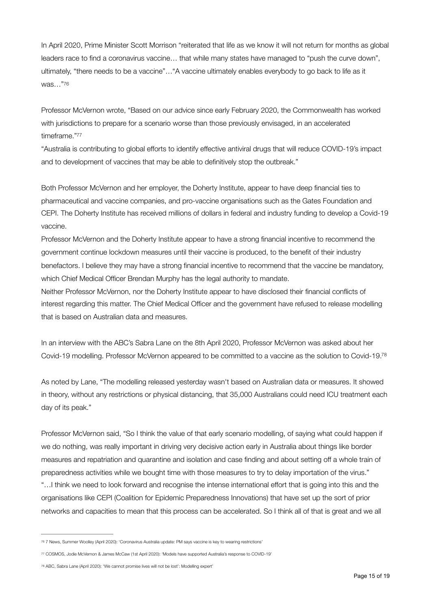In April 2020, Prime Minister Scott Morrison "reiterated that life as we know it will not return for months as global leaders race to find a coronavirus vaccine… that while many states have managed to "push the curve down", ultimately, "there needs to be a vaccine"…"A vaccine ultimately enables everybody to go back to life as it was…["76](#page-14-0)

<span id="page-14-3"></span>Professor McVernon wrote, "Based on our advice since early February 2020, the Commonwealth has worked with jurisdictions to prepare for a scenario worse than those previously envisaged, in an accelerated timeframe.["77](#page-14-1)

<span id="page-14-4"></span>"Australia is contributing to global efforts to identify effective antiviral drugs that will reduce COVID-19's impact and to development of vaccines that may be able to definitively stop the outbreak."

Both Professor McVernon and her employer, the Doherty Institute, appear to have deep financial ties to pharmaceutical and vaccine companies, and pro-vaccine organisations such as the Gates Foundation and CEPI. The Doherty Institute has received millions of dollars in federal and industry funding to develop a Covid-19 vaccine.

Professor McVernon and the Doherty Institute appear to have a strong financial incentive to recommend the government continue lockdown measures until their vaccine is produced, to the benefit of their industry benefactors. I believe they may have a strong financial incentive to recommend that the vaccine be mandatory, which Chief Medical Officer Brendan Murphy has the legal authority to mandate.

Neither Professor McVernon, nor the Doherty Institute appear to have disclosed their financial conflicts of interest regarding this matter. The Chief Medical Officer and the government have refused to release modelling that is based on Australian data and measures.

<span id="page-14-5"></span>In an interview with the ABC's Sabra Lane on the 8th April 2020, Professor McVernon was asked about her Covid-19 modelling. Professor McVernon appeared to be committed to a vaccine as the solution to Covid-19[.78](#page-14-2)

As noted by Lane, "The modelling released yesterday wasn't based on Australian data or measures. It showed in theory, without any restrictions or physical distancing, that 35,000 Australians could need ICU treatment each day of its peak."

Professor McVernon said, "So I think the value of that early scenario modelling, of saying what could happen if we do nothing, was really important in driving very decisive action early in Australia about things like border measures and repatriation and quarantine and isolation and case finding and about setting off a whole train of preparedness activities while we bought time with those measures to try to delay importation of the virus." "…I think we need to look forward and recognise the intense international effort that is going into this and the organisations like CEPI (Coalition for Epidemic Preparedness Innovations) that have set up the sort of prior networks and capacities to mean that this process can be accelerated. So I think all of that is great and we all

<span id="page-14-0"></span>[<sup>76</sup>](#page-14-3) 7 News, Summer Woolley (April 2020): '[Coronavirus Australia update: PM says vaccine is key to wearing restrictions'](https://7news.com.au/lifestyle/health-wellbeing/coronavirus-australia-update-pm-says-vaccine-is-key-to-easing-restrictions-c-950872)

<span id="page-14-1"></span>[<sup>77</sup>](#page-14-4) COSMOS, Jodie McVernon & James McCaw (1st April 2020): ['Models have supported Australia's response to COVID-19'](https://cosmosmagazine.com/biology/models-have-supported-australia-s-response-to-covid-19)

<span id="page-14-2"></span>[<sup>78</sup>](#page-14-5) ABC, Sabra Lane (April 2020): ['We cannot promise lives will not be lost': Modelling expert'](https://www.abc.net.au/radio/programs/am/we-cannot-promise-lives-will-not-be-lost:-modelling-expert/12131698)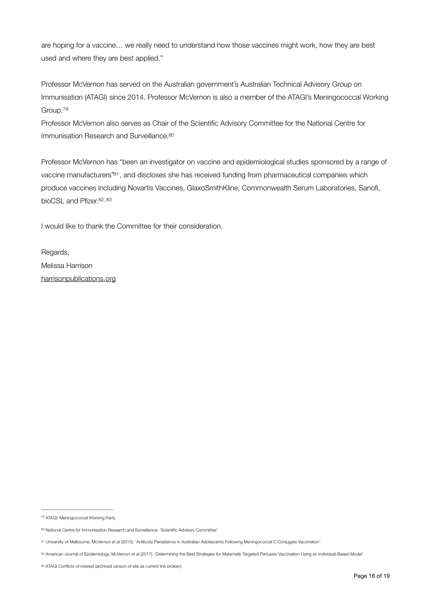are hoping for a vaccine… we really need to understand how those vaccines might work, how they are best used and where they are best applied."

Professor McVernon has served on the Australian government's Australian Technical Advisory Group on Immunisation (ATAGI) since 2014. Professor McVernon is also a member of the ATAGI's Meningococcal Working Group.[79](#page-15-0)

<span id="page-15-6"></span><span id="page-15-5"></span>Professor McVernon also serves as Chair of the Scientific Advisory Committee for the National Centre for Immunisation Research and Surveillance[.80](#page-15-1)

<span id="page-15-7"></span>Professor McVernon has "been an investigator on vaccine and epidemiological studies sponsored by a range of vaccine manufacturers"<sup>[81](#page-15-2)</sup>, and discloses she has received funding from pharmaceutical companies which produce vaccines including Novartis Vaccines, GlaxoSmithKline, Commonwealth Serum Laboratories, Sanofi, bioCSL and Pfizer.<sup>82, [83](#page-15-4)</sup>

<span id="page-15-9"></span><span id="page-15-8"></span>I would like to thank the Committee for their consideration.

Regards, Melissa Harrison [harrisonpublications.org](http://harrisonpublications.org) 

<span id="page-15-0"></span><sup>&</sup>lt;sup>79</sup> ATAGI: [Meningococcal Working Party](https://www.health.gov.au/sites/default/files/meningogoccal-working-party_0.pdf)

<span id="page-15-1"></span><sup>80</sup> National Centre for Immunisation Research and Surveillance: ['Scientific Advisory Committee'](http://www.ncirs.org.au/funding-and-governance/scientific-advisory-committee)

<span id="page-15-2"></span>[<sup>81</sup>](#page-15-7) University of Melbourne, McVernon et al (2015): ['Antibody Persistence in Australian Adolescents Following Meningococcal C Conjugate Vaccination'](https://findanexpert.unimelb.edu.au/scholarlywork/958765-antibody-persistence-in-australian-adolescents-following-meningococcal-c-conjugate-vaccination)

<span id="page-15-3"></span><sup>&</sup>lt;sup>[82](#page-15-8)</sup> American Journal of Epidemiology, McVernon et al (2017): ['Determining the Best Strategies for Maternally Targeted Pertussis Vaccination Using an Individual-Based Model'](https://academic.oup.com/aje/article/186/1/109/3769267)

<span id="page-15-4"></span>[<sup>83</sup>](#page-15-9) ATAGI Conflicts of interest [\(archived version of site as current link broken](https://web.archive.org/web/20170216014025/http://www.immunise.health.gov.au/internet/immunise/publishing.nsf/Content/FC7BB2DC63225F8ACA257D770012DBF7/$File/ATAGI-conflict-interest.pdf))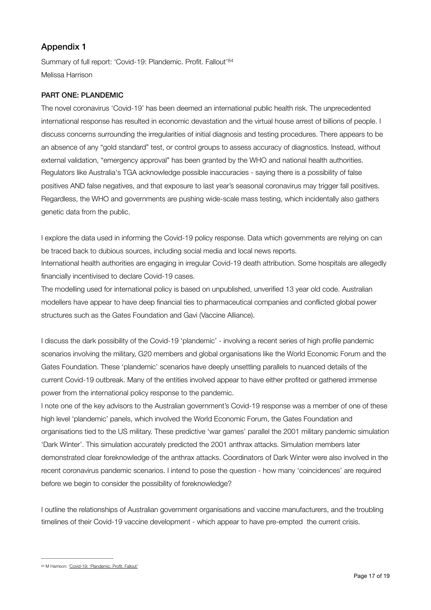#### Appendix 1

<span id="page-16-1"></span>Summary of full report: 'Covid-19: Plandemic. Profit. Fallout'[84](#page-16-0) Melissa Harrison

#### PART ONE: PLANDEMIC

The novel coronavirus 'Covid-19' has been deemed an international public health risk. The unprecedented international response has resulted in economic devastation and the virtual house arrest of billions of people. I discuss concerns surrounding the irregularities of initial diagnosis and testing procedures. There appears to be an absence of any "gold standard" test, or control groups to assess accuracy of diagnostics. Instead, without external validation, "emergency approval" has been granted by the WHO and national health authorities. Regulators like Australia's TGA acknowledge possible inaccuracies - saying there is a possibility of false positives AND false negatives, and that exposure to last year's seasonal coronavirus may trigger fall positives. Regardless, the WHO and governments are pushing wide-scale mass testing, which incidentally also gathers genetic data from the public.

I explore the data used in informing the Covid-19 policy response. Data which governments are relying on can be traced back to dubious sources, including social media and local news reports.

International health authorities are engaging in irregular Covid-19 death attribution. Some hospitals are allegedly financially incentivised to declare Covid-19 cases.

The modelling used for international policy is based on unpublished, unverified 13 year old code. Australian modellers have appear to have deep financial ties to pharmaceutical companies and conflicted global power structures such as the Gates Foundation and Gavi (Vaccine Alliance).

I discuss the dark possibility of the Covid-19 'plandemic' - involving a recent series of high profile pandemic scenarios involving the military, G20 members and global organisations like the World Economic Forum and the Gates Foundation. These 'plandemic' scenarios have deeply unsettling parallels to nuanced details of the current Covid-19 outbreak. Many of the entities involved appear to have either profited or gathered immense power from the international policy response to the pandemic.

I note one of the key advisors to the Australian government's Covid-19 response was a member of one of these high level 'plandemic' panels, which involved the World Economic Forum, the Gates Foundation and organisations tied to the US military. These predictive 'war games' parallel the 2001 military pandemic simulation 'Dark Winter'. This simulation accurately predicted the 2001 anthrax attacks. Simulation members later demonstrated clear foreknowledge of the anthrax attacks. Coordinators of Dark Winter were also involved in the recent coronavirus pandemic scenarios. I intend to pose the question - how many 'coincidences' are required before we begin to consider the possibility of foreknowledge?

I outline the relationships of Australian government organisations and vaccine manufacturers, and the troubling timelines of their Covid-19 vaccine development - which appear to have pre-empted the current crisis.

<span id="page-16-0"></span>[<sup>84</sup>](#page-16-1) M Harrison: ['Covid-19: 'Plandemic. Profit. Fallout'](https://www.harrisonpublications.org/covid-19-plandemic-profit-fallout.html)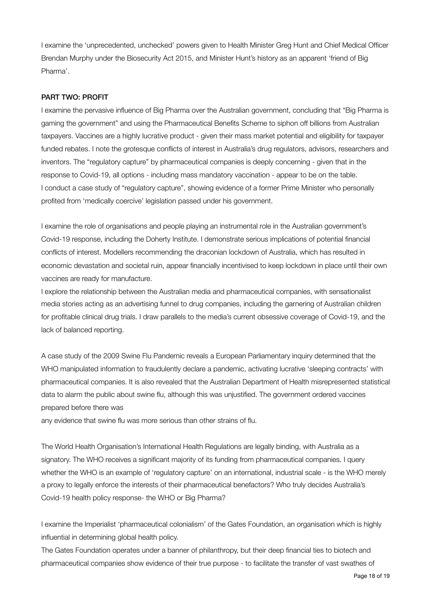I examine the 'unprecedented, unchecked' powers given to Health Minister Greg Hunt and Chief Medical Officer Brendan Murphy under the Biosecurity Act 2015, and Minister Hunt's history as an apparent 'friend of Big Pharma'.

#### PART TWO: PROFIT

I examine the pervasive influence of Big Pharma over the Australian government, concluding that "Big Pharma is gaming the government" and using the Pharmaceutical Benefits Scheme to siphon off billions from Australian taxpayers. Vaccines are a highly lucrative product - given their mass market potential and eligibility for taxpayer funded rebates. I note the grotesque conflicts of interest in Australia's drug regulators, advisors, researchers and inventors. The "regulatory capture" by pharmaceutical companies is deeply concerning - given that in the response to Covid-19, all options - including mass mandatory vaccination - appear to be on the table. I conduct a case study of "regulatory capture", showing evidence of a former Prime Minister who personally profited from 'medically coercive' legislation passed under his government.

I examine the role of organisations and people playing an instrumental role in the Australian government's Covid-19 response, including the Doherty Institute. I demonstrate serious implications of potential financial conflicts of interest. Modellers recommending the draconian lockdown of Australia, which has resulted in economic devastation and societal ruin, appear financially incentivised to keep lockdown in place until their own vaccines are ready for manufacture.

I explore the relationship between the Australian media and pharmaceutical companies, with sensationalist media stories acting as an advertising funnel to drug companies, including the garnering of Australian children for profitable clinical drug trials. I draw parallels to the media's current obsessive coverage of Covid-19, and the lack of balanced reporting.

A case study of the 2009 Swine Flu Pandemic reveals a European Parliamentary inquiry determined that the WHO manipulated information to fraudulently declare a pandemic, activating lucrative 'sleeping contracts' with pharmaceutical companies. It is also revealed that the Australian Department of Health misrepresented statistical data to alarm the public about swine flu, although this was unjustified. The government ordered vaccines prepared before there was

any evidence that swine flu was more serious than other strains of flu.

The World Health Organisation's International Health Regulations are legally binding, with Australia as a signatory. The WHO receives a significant majority of its funding from pharmaceutical companies. I query whether the WHO is an example of 'regulatory capture' on an international, industrial scale - is the WHO merely a proxy to legally enforce the interests of their pharmaceutical benefactors? Who truly decides Australia's Covid-19 health policy response- the WHO or Big Pharma?

I examine the Imperialist 'pharmaceutical colonialism' of the Gates Foundation, an organisation which is highly influential in determining global health policy.

The Gates Foundation operates under a banner of philanthropy, but their deep financial ties to biotech and pharmaceutical companies show evidence of their true purpose - to facilitate the transfer of vast swathes of